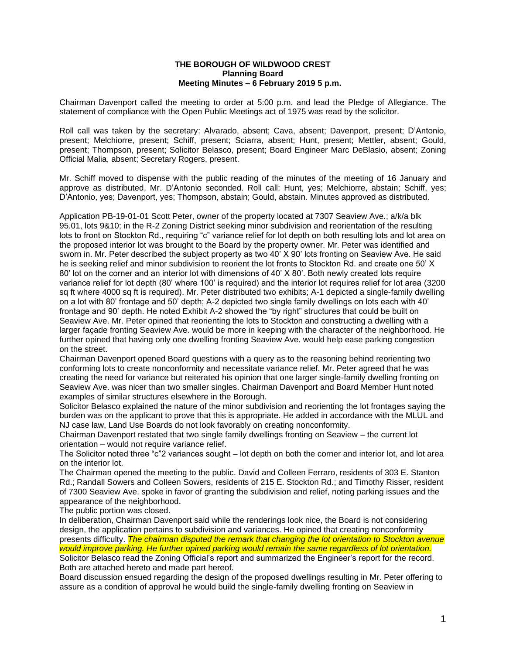## **THE BOROUGH OF WILDWOOD CREST Planning Board Meeting Minutes – 6 February 2019 5 p.m.**

Chairman Davenport called the meeting to order at 5:00 p.m. and lead the Pledge of Allegiance. The statement of compliance with the Open Public Meetings act of 1975 was read by the solicitor.

Roll call was taken by the secretary: Alvarado, absent; Cava, absent; Davenport, present; D'Antonio, present; Melchiorre, present; Schiff, present; Sciarra, absent; Hunt, present; Mettler, absent; Gould, present; Thompson, present; Solicitor Belasco, present; Board Engineer Marc DeBlasio, absent; Zoning Official Malia, absent; Secretary Rogers, present.

Mr. Schiff moved to dispense with the public reading of the minutes of the meeting of 16 January and approve as distributed, Mr. D'Antonio seconded. Roll call: Hunt, yes; Melchiorre, abstain; Schiff, yes; D'Antonio, yes; Davenport, yes; Thompson, abstain; Gould, abstain. Minutes approved as distributed.

Application PB-19-01-01 Scott Peter, owner of the property located at 7307 Seaview Ave.; a/k/a blk 95.01, lots 9&10; in the R-2 Zoning District seeking minor subdivision and reorientation of the resulting lots to front on Stockton Rd., requiring "c" variance relief for lot depth on both resulting lots and lot area on the proposed interior lot was brought to the Board by the property owner. Mr. Peter was identified and sworn in. Mr. Peter described the subject property as two 40' X 90' lots fronting on Seaview Ave. He said he is seeking relief and minor subdivision to reorient the lot fronts to Stockton Rd. and create one 50' X 80' lot on the corner and an interior lot with dimensions of 40' X 80'. Both newly created lots require variance relief for lot depth (80' where 100' is required) and the interior lot requires relief for lot area (3200 sq ft where 4000 sq ft is required). Mr. Peter distributed two exhibits; A-1 depicted a single-family dwelling on a lot with 80' frontage and 50' depth; A-2 depicted two single family dwellings on lots each with 40' frontage and 90' depth. He noted Exhibit A-2 showed the "by right" structures that could be built on Seaview Ave. Mr. Peter opined that reorienting the lots to Stockton and constructing a dwelling with a larger façade fronting Seaview Ave. would be more in keeping with the character of the neighborhood. He further opined that having only one dwelling fronting Seaview Ave. would help ease parking congestion on the street.

Chairman Davenport opened Board questions with a query as to the reasoning behind reorienting two conforming lots to create nonconformity and necessitate variance relief. Mr. Peter agreed that he was creating the need for variance but reiterated his opinion that one larger single-family dwelling fronting on Seaview Ave. was nicer than two smaller singles. Chairman Davenport and Board Member Hunt noted examples of similar structures elsewhere in the Borough.

Solicitor Belasco explained the nature of the minor subdivision and reorienting the lot frontages saying the burden was on the applicant to prove that this is appropriate. He added in accordance with the MLUL and NJ case law, Land Use Boards do not look favorably on creating nonconformity.

Chairman Davenport restated that two single family dwellings fronting on Seaview – the current lot orientation – would not require variance relief.

The Solicitor noted three "c"2 variances sought – lot depth on both the corner and interior lot, and lot area on the interior lot.

The Chairman opened the meeting to the public. David and Colleen Ferraro, residents of 303 E. Stanton Rd.; Randall Sowers and Colleen Sowers, residents of 215 E. Stockton Rd.; and Timothy Risser, resident of 7300 Seaview Ave. spoke in favor of granting the subdivision and relief, noting parking issues and the appearance of the neighborhood.

The public portion was closed.

In deliberation, Chairman Davenport said while the renderings look nice, the Board is not considering design, the application pertains to subdivision and variances. He opined that creating nonconformity presents difficulty. *The chairman disputed the remark that changing the lot orientation to Stockton avenue would improve parking. He further opined parking would remain the same regardless of lot orientation.*

Solicitor Belasco read the Zoning Official's report and summarized the Engineer's report for the record. Both are attached hereto and made part hereof.

Board discussion ensued regarding the design of the proposed dwellings resulting in Mr. Peter offering to assure as a condition of approval he would build the single-family dwelling fronting on Seaview in